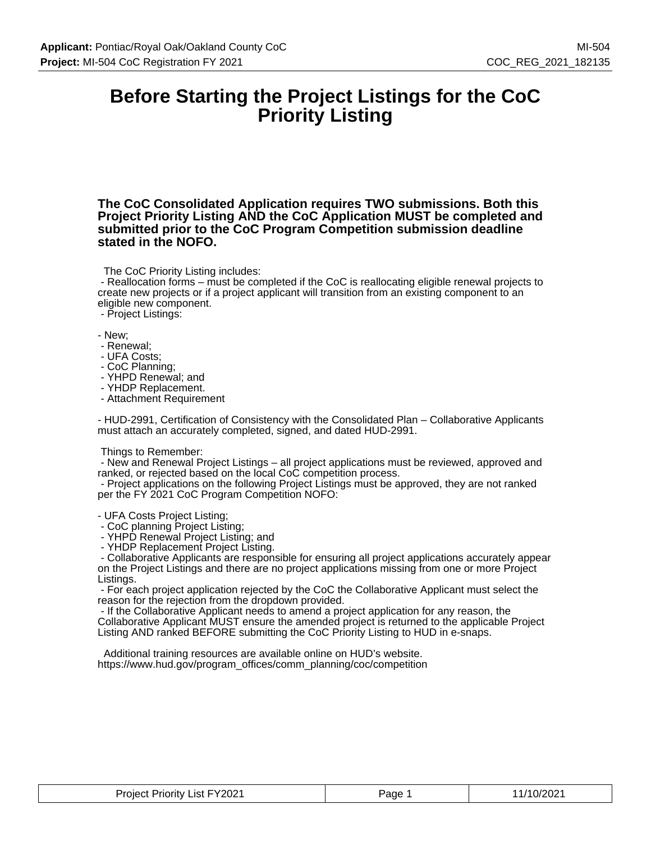### **Before Starting the Project Listings for the CoC Priority Listing**

**The CoC Consolidated Application requires TWO submissions. Both this Project Priority Listing AND the CoC Application MUST be completed and submitted prior to the CoC Program Competition submission deadline stated in the NOFO.**

The CoC Priority Listing includes:

 - Reallocation forms – must be completed if the CoC is reallocating eligible renewal projects to create new projects or if a project applicant will transition from an existing component to an eligible new component.

- Project Listings:

- New;

- Renewal;
- UFA Costs;
- CoC Planning;
- YHPD Renewal; and
- YHDP Replacement.
- Attachment Requirement

- HUD-2991, Certification of Consistency with the Consolidated Plan – Collaborative Applicants must attach an accurately completed, signed, and dated HUD-2991.

#### Things to Remember:

 - New and Renewal Project Listings – all project applications must be reviewed, approved and ranked, or rejected based on the local CoC competition process.

 - Project applications on the following Project Listings must be approved, they are not ranked per the FY 2021 CoC Program Competition NOFO:

- UFA Costs Project Listing;

- CoC planning Project Listing;

- YHPD Renewal Project Listing; and

- YHDP Replacement Project Listing.

 - Collaborative Applicants are responsible for ensuring all project applications accurately appear on the Project Listings and there are no project applications missing from one or more Project Listings.

 - For each project application rejected by the CoC the Collaborative Applicant must select the reason for the rejection from the dropdown provided.

 - If the Collaborative Applicant needs to amend a project application for any reason, the Collaborative Applicant MUST ensure the amended project is returned to the applicable Project Listing AND ranked BEFORE submitting the CoC Priority Listing to HUD in e-snaps.

 Additional training resources are available online on HUD's website. https://www.hud.gov/program\_offices/comm\_planning/coc/competition

| <b>Project Priority List FY2021</b> | Page 1 | 11/10/2021 |
|-------------------------------------|--------|------------|
|-------------------------------------|--------|------------|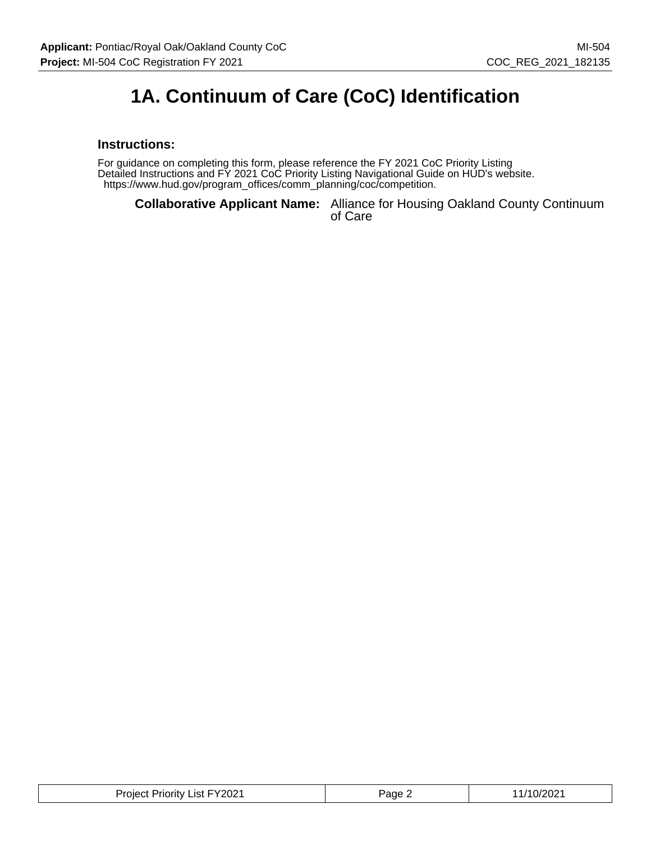### **1A. Continuum of Care (CoC) Identification**

#### **Instructions:**

For guidance on completing this form, please reference the FY 2021 CoC Priority Listing Detailed Instructions and FY 2021 CoC Priority Listing Navigational Guide on HUD's website. https://www.hud.gov/program\_offices/comm\_planning/coc/competition.

**Collaborative Applicant Name:** Alliance for Housing Oakland County Continuum of Care

| <b>Project Priority List FY2021</b> | Page 2 | 11/10/2021 |
|-------------------------------------|--------|------------|
|-------------------------------------|--------|------------|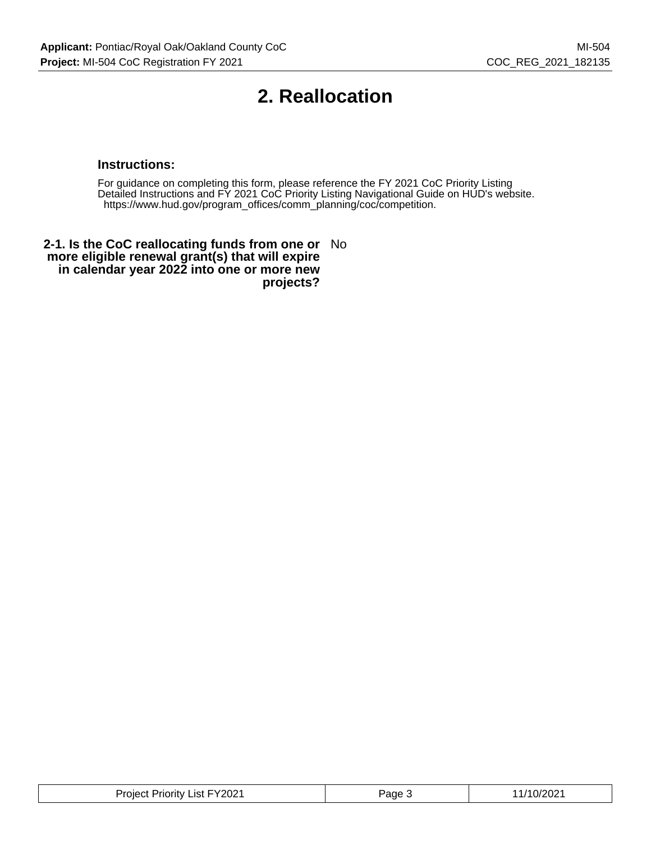# **2. Reallocation**

#### **Instructions:**

For guidance on completing this form, please reference the FY 2021 CoC Priority Listing Detailed Instructions and FY 2021 CoC Priority Listing Navigational Guide on HUD's website. https://www.hud.gov/program\_offices/comm\_planning/coc/competition.

**2-1. Is the CoC reallocating funds from one or** No **more eligible renewal grant(s) that will expire in calendar year 2022 into one or more new projects?**

| . FY2021<br>_ıst<br>Priority.<br>Proiect | Paαe | 0/202<br> |
|------------------------------------------|------|-----------|
|------------------------------------------|------|-----------|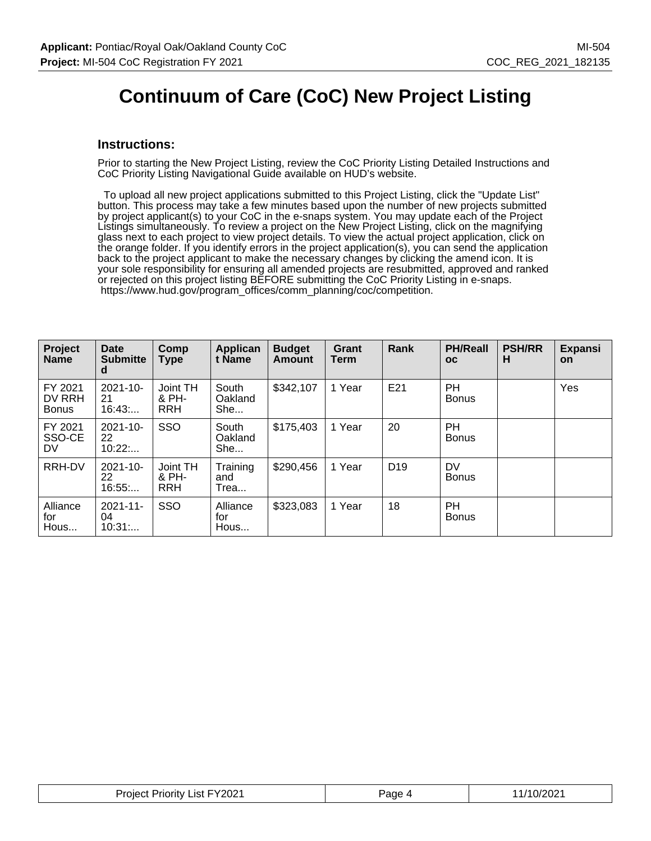## **Continuum of Care (CoC) New Project Listing**

#### **Instructions:**

Prior to starting the New Project Listing, review the CoC Priority Listing Detailed Instructions and CoC Priority Listing Navigational Guide available on HUD's website.

 To upload all new project applications submitted to this Project Listing, click the "Update List" button. This process may take a few minutes based upon the number of new projects submitted by project applicant(s) to your CoC in the e-snaps system. You may update each of the Project Listings simultaneously. To review a project on the New Project Listing, click on the magnifying glass next to each project to view project details. To view the actual project application, click on the orange folder. If you identify errors in the project application(s), you can send the application back to the project applicant to make the necessary changes by clicking the amend icon. It is your sole responsibility for ensuring all amended projects are resubmitted, approved and ranked or rejected on this project listing BEFORE submitting the CoC Priority Listing in e-snaps. https://www.hud.gov/program\_offices/comm\_planning/coc/competition.

| Project<br><b>Name</b>            | <b>Date</b><br><b>Submitte</b><br>d | Comp<br><b>Type</b>             | Applican<br>t Name      | <b>Budget</b><br><b>Amount</b> | Grant<br>Term | Rank            | <b>PH/Reall</b><br>OC     | <b>PSH/RR</b><br>н | <b>Expansi</b><br><b>on</b> |
|-----------------------------------|-------------------------------------|---------------------------------|-------------------------|--------------------------------|---------------|-----------------|---------------------------|--------------------|-----------------------------|
| FY 2021<br>DV RRH<br><b>Bonus</b> | $2021 - 10 -$<br>21<br>16:43        | Joint TH<br>& PH-<br><b>RRH</b> | South<br>Oakland<br>She | \$342,107                      | 1 Year        | E21             | PH<br><b>Bonus</b>        |                    | Yes                         |
| FY 2021<br>SSO-CE<br>DV.          | $2021 - 10 -$<br>22<br>10:22        | SSO                             | South<br>Oakland<br>She | \$175,403                      | 1 Year        | 20              | <b>PH</b><br><b>Bonus</b> |                    |                             |
| RRH-DV                            | $2021 - 10 -$<br>22<br>16:55        | Joint TH<br>& PH-<br><b>RRH</b> | Training<br>and<br>Trea | \$290,456                      | 1 Year        | D <sub>19</sub> | <b>DV</b><br><b>Bonus</b> |                    |                             |
| Alliance<br>for<br>Hous           | $2021 - 11 -$<br>04<br>10:31        | SSO                             | Alliance<br>for<br>Hous | \$323,083                      | 1 Year        | 18              | <b>PH</b><br><b>Bonus</b> |                    |                             |

| Project Priority List FY2021 | Page 4 | 11/10/2021 |
|------------------------------|--------|------------|
|------------------------------|--------|------------|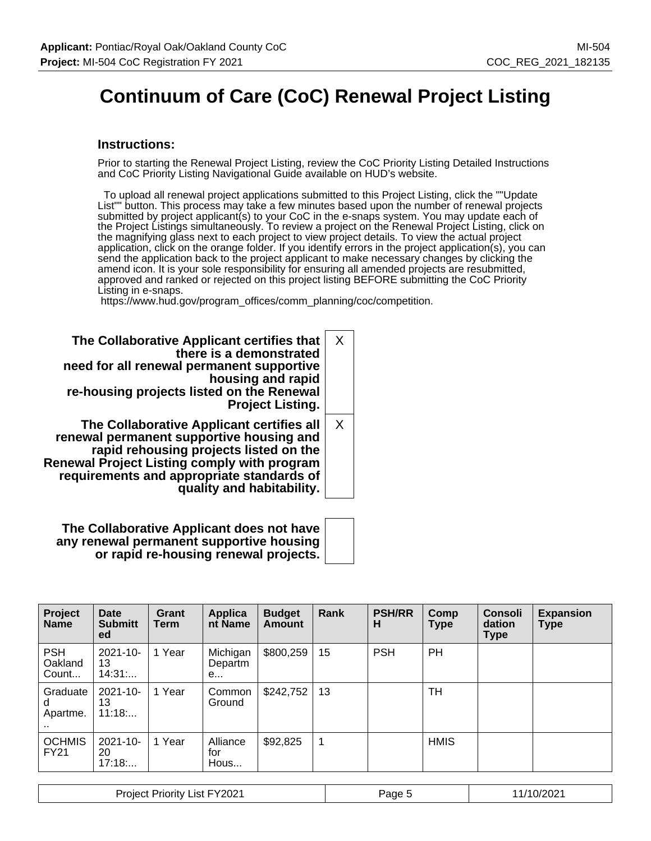# **Continuum of Care (CoC) Renewal Project Listing**

#### **Instructions:**

Prior to starting the Renewal Project Listing, review the CoC Priority Listing Detailed Instructions and CoC Priority Listing Navigational Guide available on HUD's website.

 To upload all renewal project applications submitted to this Project Listing, click the ""Update List"" button. This process may take a few minutes based upon the number of renewal projects submitted by project applicant(s) to your CoC in the e-snaps system. You may update each of the Project Listings simultaneously. To review a project on the Renewal Project Listing, click on the magnifying glass next to each project to view project details. To view the actual project application, click on the orange folder. If you identify errors in the project application(s), you can send the application back to the project applicant to make necessary changes by clicking the amend icon. It is your sole responsibility for ensuring all amended projects are resubmitted, approved and ranked or rejected on this project listing BEFORE submitting the CoC Priority Listing in e-snaps.

https://www.hud.gov/program\_offices/comm\_planning/coc/competition.

| The Collaborative Applicant certifies that<br>there is a demonstrated<br>need for all renewal permanent supportive<br>housing and rapid<br>re-housing projects listed on the Renewal<br><b>Project Listing.</b>                                                 | X |
|-----------------------------------------------------------------------------------------------------------------------------------------------------------------------------------------------------------------------------------------------------------------|---|
| The Collaborative Applicant certifies all<br>renewal permanent supportive housing and<br>rapid rehousing projects listed on the<br><b>Renewal Project Listing comply with program</b><br>requirements and appropriate standards of<br>quality and habitability. | X |

**The Collaborative Applicant does not have any renewal permanent supportive housing or rapid re-housing renewal projects.**

| Project<br><b>Name</b>         | <b>Date</b><br><b>Submitt</b><br>ed | Grant<br>Term | Applica<br>nt Name       | <b>Budget</b><br>Amount | Rank | <b>PSH/RR</b><br>н | Comp<br><b>Type</b> | <b>Consoli</b><br>dation<br><b>Type</b> | <b>Expansion</b><br><b>Type</b> |
|--------------------------------|-------------------------------------|---------------|--------------------------|-------------------------|------|--------------------|---------------------|-----------------------------------------|---------------------------------|
| <b>PSH</b><br>Oakland<br>Count | $2021 - 10 -$<br>13<br>14:31        | 1 Year        | Michigan<br>Departm<br>e | \$800,259               | 15   | <b>PSH</b>         | PH                  |                                         |                                 |
| Graduate<br>Apartme.<br>       | $2021 - 10 -$<br>13<br>11:18        | 1 Year        | Common<br>Ground         | \$242,752               | 13   |                    | <b>TH</b>           |                                         |                                 |
| <b>OCHMIS</b><br><b>FY21</b>   | $2021 - 10 -$<br>20<br>17:18        | 1 Year        | Alliance<br>for<br>Hous  | \$92,825                | 1    |                    | <b>HMIS</b>         |                                         |                                 |

| Project Priority List FY2021 | Page 5 | 11/10/2021 |
|------------------------------|--------|------------|
|------------------------------|--------|------------|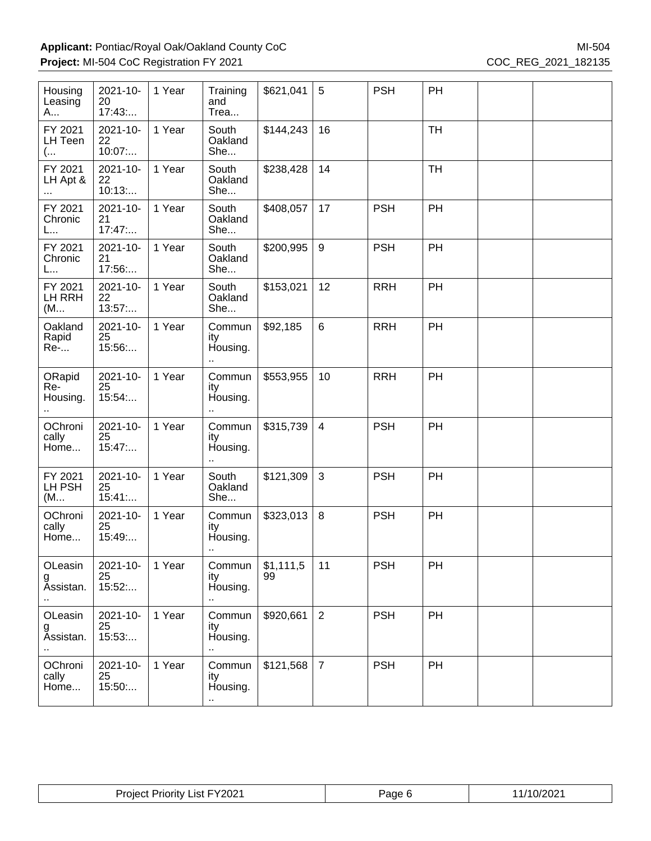| Housing<br>Leasing<br>A                           | 2021-10-<br>20<br>17:43       | 1 Year | Training<br>and<br>Trea                           | \$621,041       | $\overline{5}$ | <b>PSH</b> | PH        |  |
|---------------------------------------------------|-------------------------------|--------|---------------------------------------------------|-----------------|----------------|------------|-----------|--|
| FY 2021<br>LH Teen<br>(                           | 2021-10-<br>22<br>10:07       | 1 Year | South<br>Oakland<br>She                           | \$144,243       | 16             |            | <b>TH</b> |  |
| FY 2021<br>LH Apt &<br>$\cdots$                   | $2021 - 10 -$<br>22<br>10:13  | 1 Year | South<br>Oakland<br>She                           | \$238,428       | 14             |            | <b>TH</b> |  |
| FY 2021<br>Chronic<br>L                           | 2021-10-<br>21<br>17:47       | 1 Year | South<br>Oakland<br>She                           | \$408,057       | 17             | <b>PSH</b> | PH        |  |
| FY 2021<br>Chronic<br>L                           | 2021-10-<br>21<br>17:56:      | 1 Year | South<br>Oakland<br>She                           | \$200,995       | 9              | <b>PSH</b> | PH        |  |
| FY 2021<br>LH RRH<br>(M                           | 2021-10-<br>22<br>13:57       | 1 Year | South<br>Oakland<br>She                           | \$153,021       | 12             | <b>RRH</b> | <b>PH</b> |  |
| Oakland<br>Rapid<br>Re -                          | 2021-10-<br>25<br>15:56:      | 1 Year | Commun<br>ity<br>Housing.                         | \$92,185        | 6              | <b>RRH</b> | PH        |  |
| ORapid<br>Re-<br>Housing.<br>$\ddot{\phantom{1}}$ | 2021-10-<br>25<br>15:54       | 1 Year | Commun<br>ity<br>Housing.                         | \$553,955       | 10             | <b>RRH</b> | <b>PH</b> |  |
| OChroni<br>cally<br>Home                          | 2021-10-<br>25<br>15:47       | 1 Year | Commun<br>ity<br>Housing.                         | \$315,739       | $\overline{4}$ | <b>PSH</b> | PH        |  |
| FY 2021<br>LH PSH<br>(M                           | 2021-10-<br>25<br>15:41       | 1 Year | South<br>Oakland<br>She                           | \$121,309       | 3              | <b>PSH</b> | PH        |  |
| OChroni<br>cally<br>Home                          | $2021 - 10 -$<br>25<br>15:49: | 1 Year | Commun<br>ity<br>Housing.<br>$\ddot{\phantom{1}}$ | \$323,013       | 8              | <b>PSH</b> | PH        |  |
| OLeasin<br>Ässistan.<br>$\ddot{\phantom{1}}$      | 2021-10-<br>25<br>15:52:      | 1 Year | Commun<br>ity<br>Housing.<br>$\ddot{\phantom{a}}$ | \$1,111,5<br>99 | 11             | <b>PSH</b> | PH        |  |
| OLeasin<br>g<br>Ässistan.                         | 2021-10-<br>25<br>15:53       | 1 Year | Commun<br>ity<br>Housing.<br>$\ddot{\phantom{1}}$ | \$920,661       | $\overline{2}$ | <b>PSH</b> | PH        |  |
| OChroni<br>cally<br>Home                          | 2021-10-<br>25<br>15:50       | 1 Year | Commun<br>ity<br>Housing.                         | $$121,568$ 7    |                | <b>PSH</b> | PH        |  |

| <b>Project Priority List FY2021</b> | Page F | /10/2021 |
|-------------------------------------|--------|----------|
|-------------------------------------|--------|----------|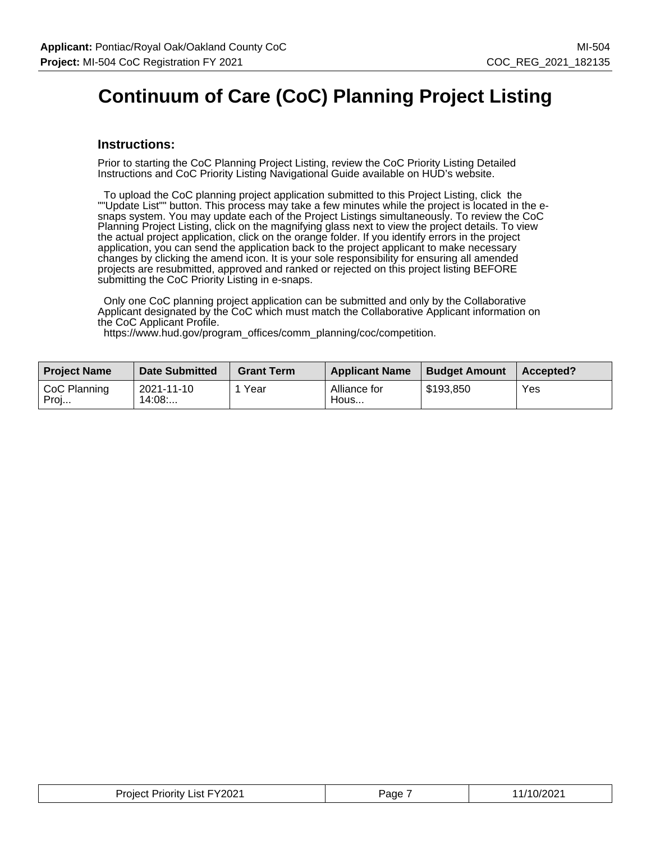# **Continuum of Care (CoC) Planning Project Listing**

#### **Instructions:**

Prior to starting the CoC Planning Project Listing, review the CoC Priority Listing Detailed Instructions and CoC Priority Listing Navigational Guide available on HUD's website.

 To upload the CoC planning project application submitted to this Project Listing, click the ""Update List"" button. This process may take a few minutes while the project is located in the esnaps system. You may update each of the Project Listings simultaneously. To review the CoC Planning Project Listing, click on the magnifying glass next to view the project details. To view the actual project application, click on the orange folder. If you identify errors in the project application, you can send the application back to the project applicant to make necessary changes by clicking the amend icon. It is your sole responsibility for ensuring all amended projects are resubmitted, approved and ranked or rejected on this project listing BEFORE submitting the CoC Priority Listing in e-snaps.

 Only one CoC planning project application can be submitted and only by the Collaborative Applicant designated by the CoC which must match the Collaborative Applicant information on the CoC Applicant Profile.

https://www.hud.gov/program\_offices/comm\_planning/coc/competition.

| <b>Project Name</b>  | <b>Date Submitted</b> | <b>Grant Term</b> | <b>Applicant Name</b> | <b>Budget Amount</b> | Accepted? |
|----------------------|-----------------------|-------------------|-----------------------|----------------------|-----------|
| CoC Planning<br>Proj | 2021-11-10<br>14:08:  | Year              | Alliance for<br>Hous  | \$193,850            | Yes       |

| <b>Project Priority List FY2021</b> | Page | 1/10/2021 |
|-------------------------------------|------|-----------|
|-------------------------------------|------|-----------|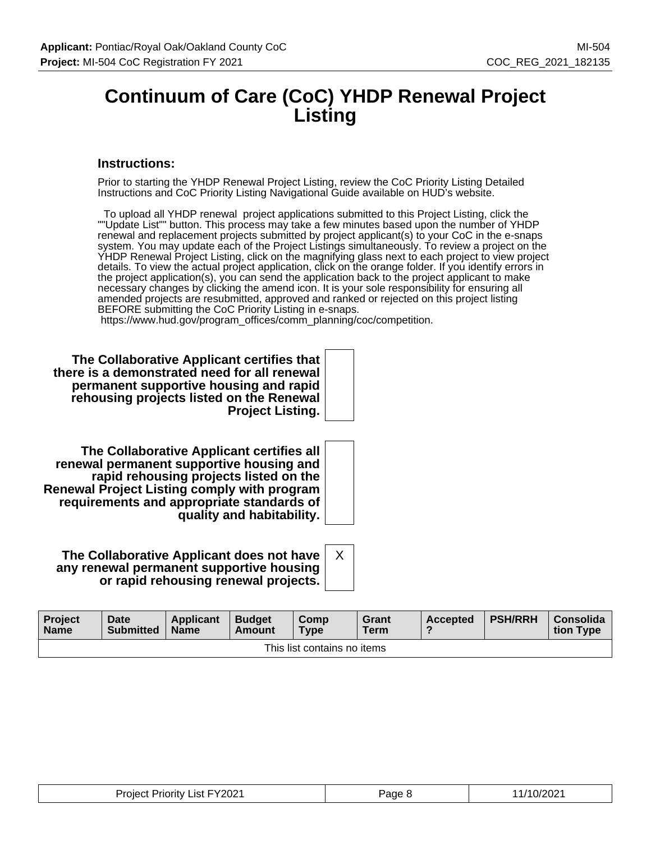### **Continuum of Care (CoC) YHDP Renewal Project Listing**

#### **Instructions:**

Prior to starting the YHDP Renewal Project Listing, review the CoC Priority Listing Detailed Instructions and CoC Priority Listing Navigational Guide available on HUD's website.

 To upload all YHDP renewal project applications submitted to this Project Listing, click the ""Update List"" button. This process may take a few minutes based upon the number of YHDP renewal and replacement projects submitted by project applicant(s) to your CoC in the e-snaps system. You may update each of the Project Listings simultaneously. To review a project on the YHDP Renewal Project Listing, click on the magnifying glass next to each project to view project details. To view the actual project application, click on the orange folder. If you identify errors in the project application(s), you can send the application back to the project applicant to make necessary changes by clicking the amend icon. It is your sole responsibility for ensuring all amended projects are resubmitted, approved and ranked or rejected on this project listing BEFORE submitting the CoC Priority Listing in e-snaps.

https://www.hud.gov/program\_offices/comm\_planning/coc/competition.

**The Collaborative Applicant certifies that there is a demonstrated need for all renewal permanent supportive housing and rapid rehousing projects listed on the Renewal Project Listing.**

**The Collaborative Applicant certifies all renewal permanent supportive housing and rapid rehousing projects listed on the Renewal Project Listing comply with program requirements and appropriate standards of quality and habitability.**

**The Collaborative Applicant does not have any renewal permanent supportive housing or rapid rehousing renewal projects.**

| <b>Project</b><br><b>Name</b> | Date<br><b>Submitted</b> | <b>Applicant</b><br><b>Name</b> | <b>Budget</b><br>Amount | Comp<br><b>Type</b> | Grant<br><b>Term</b> | Accepted | <b>PSH/RRH</b> | Consolida<br>tion Type |
|-------------------------------|--------------------------|---------------------------------|-------------------------|---------------------|----------------------|----------|----------------|------------------------|
| This list contains no items   |                          |                                 |                         |                     |                      |          |                |                        |

X

| EV2021<br>Pronr<br>.ıst<br>. JOIP"<br>ΠΟΠΙΝ<br>ິ∠∪∠∴ | 'age | ംഗാറെ :<br>. ., |
|------------------------------------------------------|------|-----------------|
|------------------------------------------------------|------|-----------------|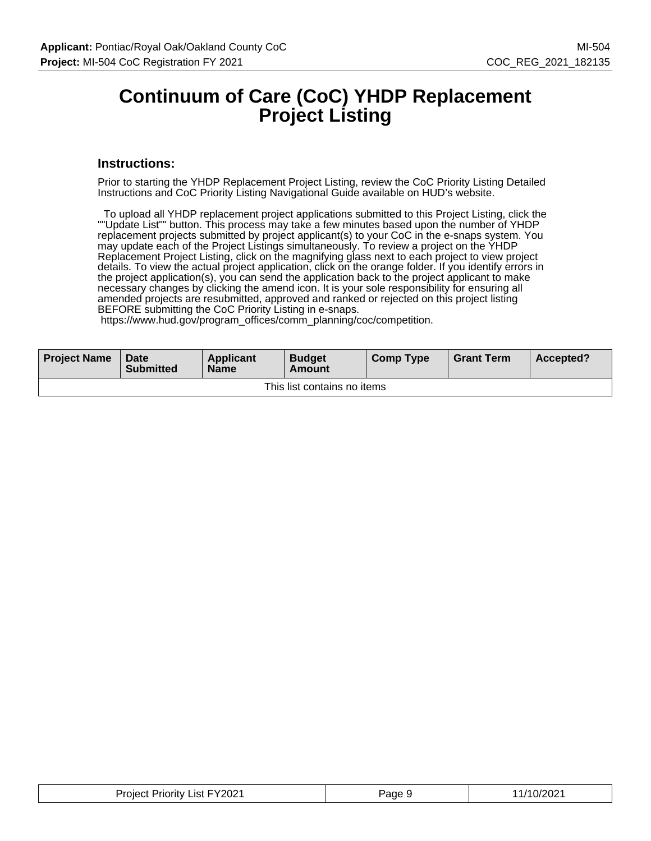### **Continuum of Care (CoC) YHDP Replacement Project Listing**

#### **Instructions:**

Prior to starting the YHDP Replacement Project Listing, review the CoC Priority Listing Detailed Instructions and CoC Priority Listing Navigational Guide available on HUD's website.

 To upload all YHDP replacement project applications submitted to this Project Listing, click the ""Update List"" button. This process may take a few minutes based upon the number of YHDP replacement projects submitted by project applicant(s) to your CoC in the e-snaps system. You may update each of the Project Listings simultaneously. To review a project on the YHDP Replacement Project Listing, click on the magnifying glass next to each project to view project details. To view the actual project application, click on the orange folder. If you identify errors in the project application(s), you can send the application back to the project applicant to make necessary changes by clicking the amend icon. It is your sole responsibility for ensuring all amended projects are resubmitted, approved and ranked or rejected on this project listing BEFORE submitting the CoC Priority Listing in e-snaps.

https://www.hud.gov/program\_offices/comm\_planning/coc/competition.

| <b>Project Name</b>         | Date<br><b>Submitted</b> | Applicant<br><b>Name</b> | <b>Budget</b><br>Amount | <b>Comp Type</b> | <b>Grant Term</b> | Accepted? |
|-----------------------------|--------------------------|--------------------------|-------------------------|------------------|-------------------|-----------|
| This list contains no items |                          |                          |                         |                  |                   |           |

| <b>Project Priority List FY2021</b> | Page | 10/2021<br>______ |
|-------------------------------------|------|-------------------|
|-------------------------------------|------|-------------------|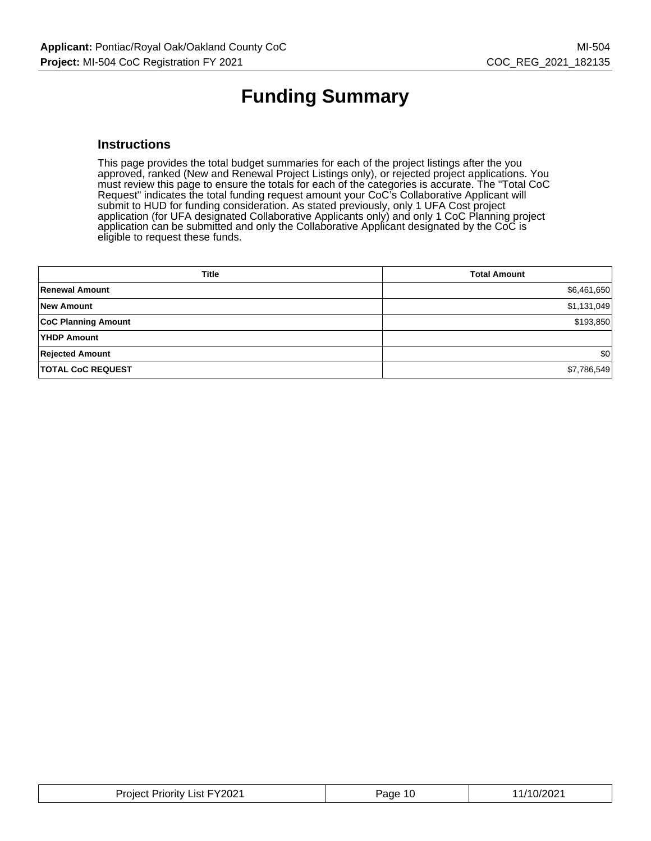# **Funding Summary**

#### **Instructions**

This page provides the total budget summaries for each of the project listings after the you approved, ranked (New and Renewal Project Listings only), or rejected project applications. You must review this page to ensure the totals for each of the categories is accurate. The "Total CoC Request" indicates the total funding request amount your CoC's Collaborative Applicant will submit to HUD for funding consideration. As stated previously, only 1 UFA Cost project application (for UFA designated Collaborative Applicants only) and only 1 CoC Planning project application can be submitted and only the Collaborative Applicant designated by the CoC is eligible to request these funds.

| <b>Title</b>               | <b>Total Amount</b> |
|----------------------------|---------------------|
| <b>Renewal Amount</b>      | \$6,461,650         |
| <b>New Amount</b>          | \$1,131,049         |
| <b>CoC Planning Amount</b> | \$193,850           |
| YHDP Amount                |                     |
| <b>Rejected Amount</b>     | \$0                 |
| <b>TOTAL CoC REQUEST</b>   | \$7,786,549         |

| <b>Project Priority List FY2021</b> | Page 10 | 11/10/2021 |
|-------------------------------------|---------|------------|
|-------------------------------------|---------|------------|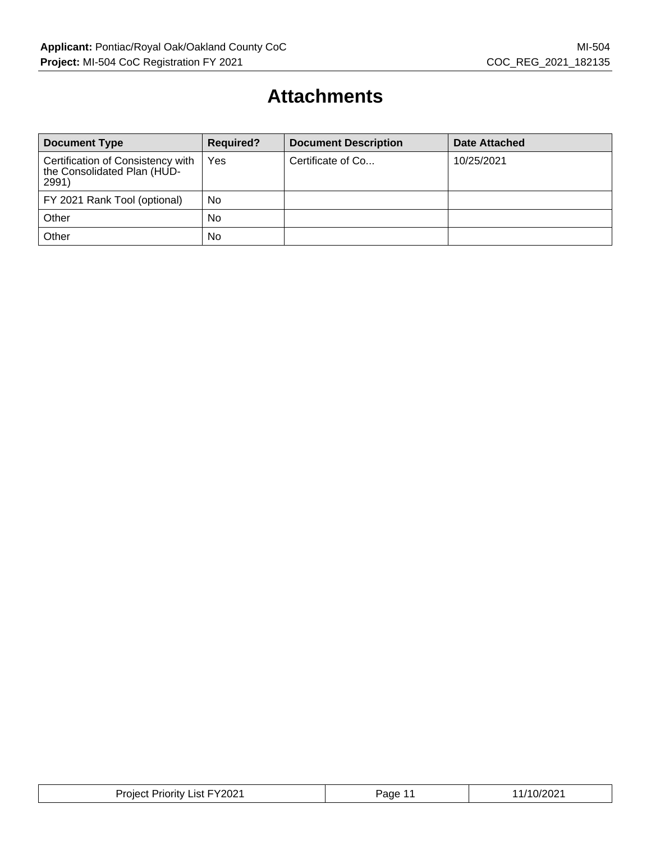L

# **Attachments**

| <b>Document Type</b>                                                      | <b>Required?</b> | <b>Document Description</b> | Date Attached |
|---------------------------------------------------------------------------|------------------|-----------------------------|---------------|
| Certification of Consistency with<br>the Consolidated Plan (HUD-<br>2991) | Yes              | Certificate of Co           | 10/25/2021    |
| FY 2021 Rank Tool (optional)                                              | No               |                             |               |
| Other                                                                     | No               |                             |               |
| Other                                                                     | No               |                             |               |

| FY2021<br>-ist l<br>'riority<br>∽r∩iect | Page | ے∪2/∪י |
|-----------------------------------------|------|--------|
|-----------------------------------------|------|--------|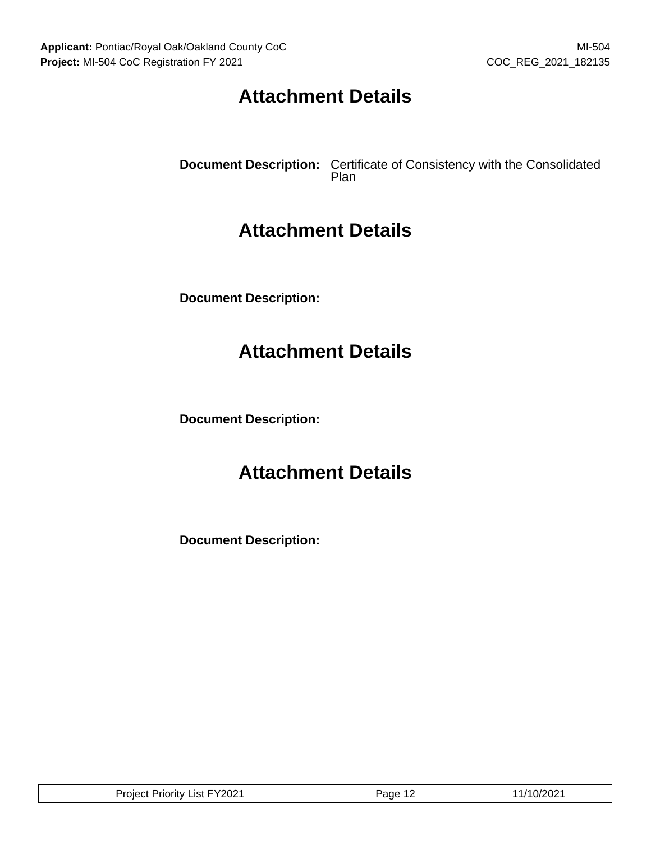# **Attachment Details**

**Document Description:** Certificate of Consistency with the Consolidated Plan

### **Attachment Details**

**Document Description:**

### **Attachment Details**

**Document Description:**

# **Attachment Details**

**Document Description:**

| FY2021<br>.ist<br>Project<br>'riority | ane?<br>. . | '''<br>.uz |
|---------------------------------------|-------------|------------|
|---------------------------------------|-------------|------------|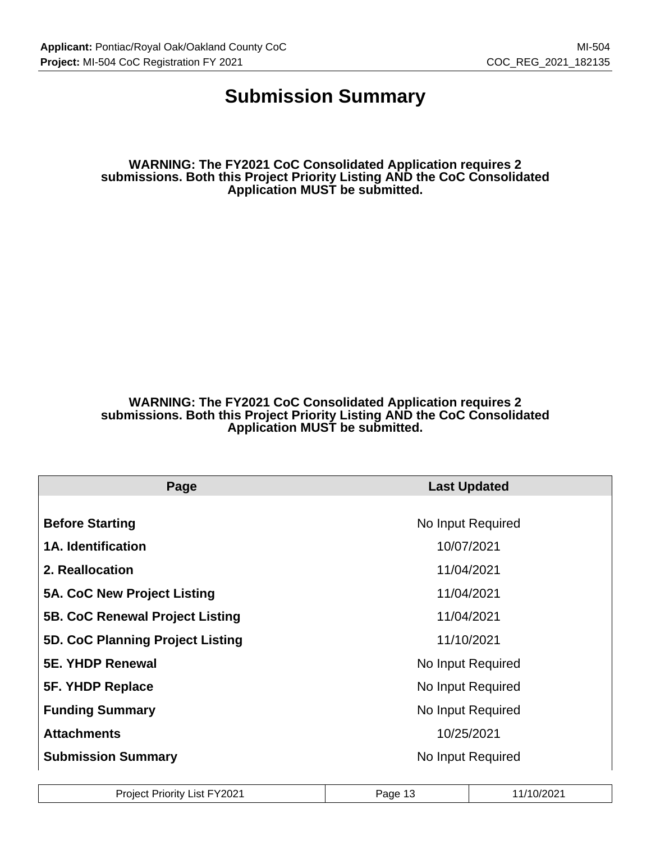### **Submission Summary**

**WARNING: The FY2021 CoC Consolidated Application requires 2 submissions. Both this Project Priority Listing AND the CoC Consolidated Application MUST be submitted.**

#### **WARNING: The FY2021 CoC Consolidated Application requires 2 submissions. Both this Project Priority Listing AND the CoC Consolidated Application MUST be submitted.**

| Page                               | <b>Last Updated</b> |
|------------------------------------|---------------------|
|                                    |                     |
| <b>Before Starting</b>             | No Input Required   |
| <b>1A. Identification</b>          | 10/07/2021          |
| 2. Reallocation                    | 11/04/2021          |
| <b>5A. CoC New Project Listing</b> | 11/04/2021          |
| 5B. CoC Renewal Project Listing    | 11/04/2021          |
| 5D. CoC Planning Project Listing   | 11/10/2021          |
| <b>5E. YHDP Renewal</b>            | No Input Required   |
| 5F. YHDP Replace                   | No Input Required   |
| <b>Funding Summary</b>             | No Input Required   |
| <b>Attachments</b>                 | 10/25/2021          |
| <b>Submission Summary</b>          | No Input Required   |

| <b>Project Priority List FY2021</b> | Page 1 <sup>-</sup> | 11/10/2021 |
|-------------------------------------|---------------------|------------|
|-------------------------------------|---------------------|------------|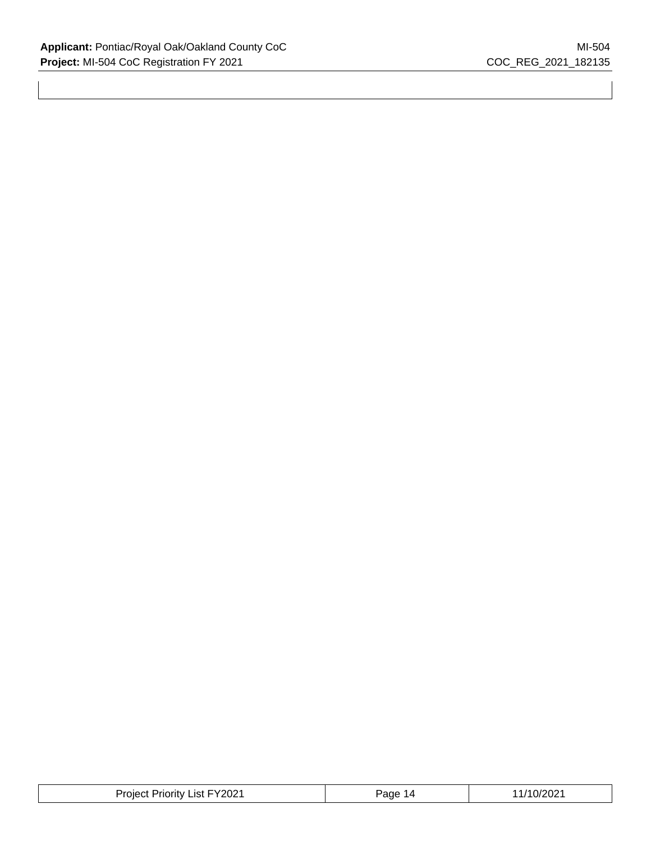$\mathbb{L}$ 

| Y2021:<br>Proiec<br>_ıst ′<br>'riority : | age | ,,<br>. |
|------------------------------------------|-----|---------|
|------------------------------------------|-----|---------|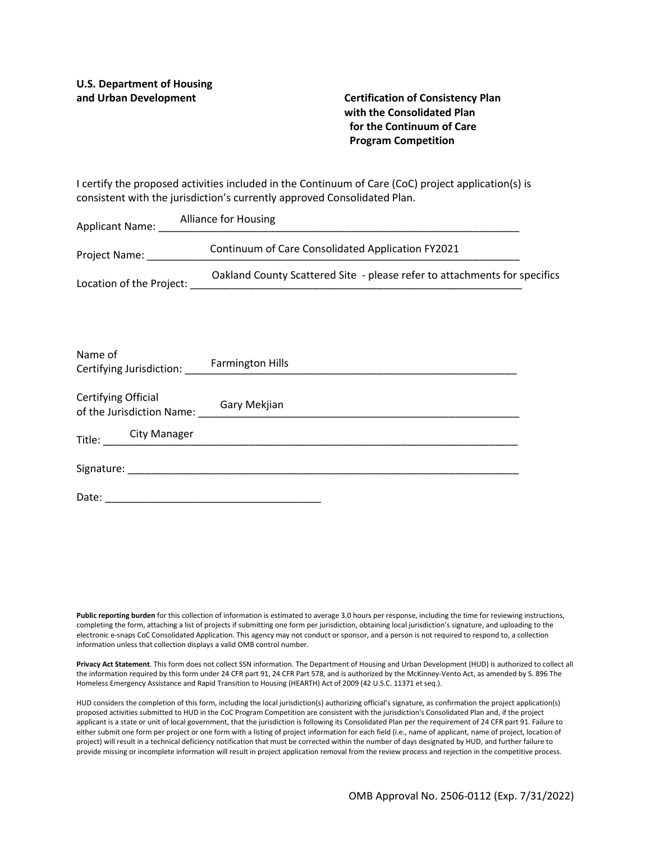**and Urban Development Certification of Consistency Plan with the Consolidated Plan for the Continuum of Care Program Competition** 

 I certify the proposed activities included in the Continuum of Care (CoC) project application(s) is consistent with the jurisdiction's currently approved Consolidated Plan.

| <b>Applicant Name:</b>   | <b>Alliance for Housing</b>                                               |
|--------------------------|---------------------------------------------------------------------------|
| Project Name:            | Continuum of Care Consolidated Application FY2021                         |
| Location of the Project: | Oakland County Scattered Site - please refer to attachments for specifics |

| Name of<br>Certifying Jurisdiction:              | <b>Farmington Hills</b> |
|--------------------------------------------------|-------------------------|
| Certifying Official<br>of the Jurisdiction Name: | Gary Mekjian            |
| <b>City Manager</b><br>Title:                    |                         |
|                                                  |                         |
| Date:                                            |                         |

 **Public reporting burden** for this collection of information is estimated to average 3.0 hours per response, including the time for reviewing instructions, completing the form, attaching a list of projects if submitting one form per jurisdiction, obtaining local jurisdiction's signature, and uploading to the electronic e-snaps CoC Consolidated Application. This agency may not conduct or sponsor, and a person is not required to respond to, a collection information unless that collection displays a valid OMB control number.

 **Privacy Act Statement**. This form does not collect SSN information. The Department of Housing and Urban Development (HUD) is authorized to collect all the information required by this form under 24 CFR part 91, 24 CFR Part 578, and is authorized by the McKinney-Vento Act, as amended by S. 896 The Homeless Emergency Assistance and Rapid Transition to Housing (HEARTH) Act of 2009 (42 U.S.C. 11371 et seq.).

 HUD considers the completion of this form, including the local jurisdiction(s) authorizing official's signature, as confirmation the project application(s) proposed activities submitted to HUD in the CoC Program Competition are consistent with the jurisdiction's Consolidated Plan and, if the project applicant is a state or unit of local government, that the jurisdiction is following its Consolidated Plan per the requirement of 24 CFR part 91. Failure to either submit one form per project or one form with a listing of project information for each field (i.e., name of applicant, name of project, location of project) will result in a technical deficiency notification that must be corrected within the number of days designated by HUD, and further failure to provide missing or incomplete information will result in project application removal from the review process and rejection in the competitive process.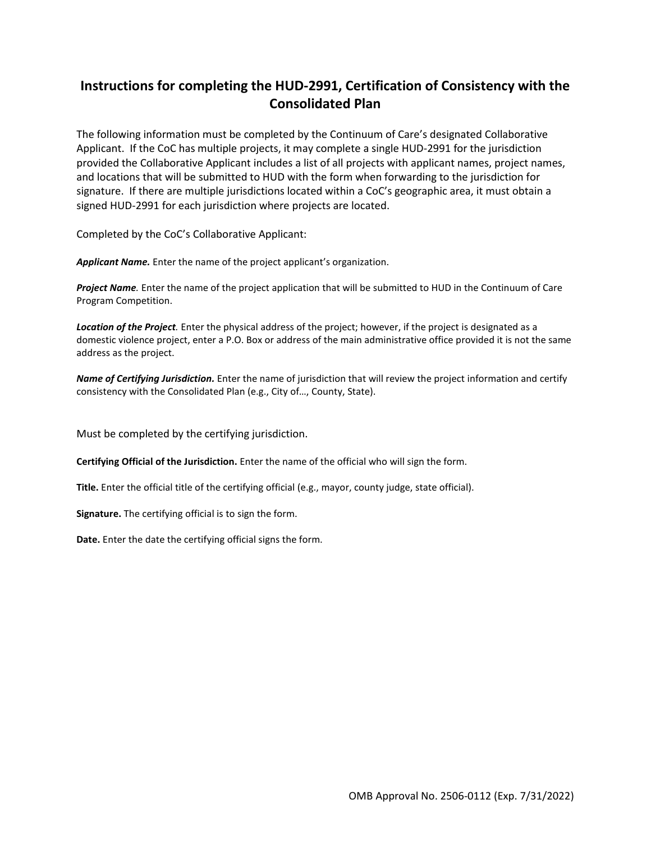### **Instructions for completing the HUD-2991, Certification of Consistency with the Consolidated Plan**

 The following information must be completed by the Continuum of Care's designated Collaborative Applicant. If the CoC has multiple projects, it may complete a single HUD-2991 for the jurisdiction provided the Collaborative Applicant includes a list of all projects with applicant names, project names, and locations that will be submitted to HUD with the form when forwarding to the jurisdiction for signature. If there are multiple jurisdictions located within a CoC's geographic area, it must obtain a signed HUD-2991 for each jurisdiction where projects are located.

Completed by the CoC's Collaborative Applicant:

*Applicant Name.* Enter the name of the project applicant's organization.

 *Project Name.* Enter the name of the project application that will be submitted to HUD in the Continuum of Care Program Competition.

 *Location of the Project.* Enter the physical address of the project; however, if the project is designated as a domestic violence project, enter a P.O. Box or address of the main administrative office provided it is not the same address as the project.

 *Name of Certifying Jurisdiction.* Enter the name of jurisdiction that will review the project information and certify consistency with the Consolidated Plan (e.g., City of…, County, State).

Must be completed by the certifying jurisdiction.

 **Certifying Official of the Jurisdiction.** Enter the name of the official who will sign the form.

**Title.** Enter the official title of the certifying official (e.g., mayor, county judge, state official).

**Signature.** The certifying official is to sign the form.

**Date.** Enter the date the certifying official signs the form.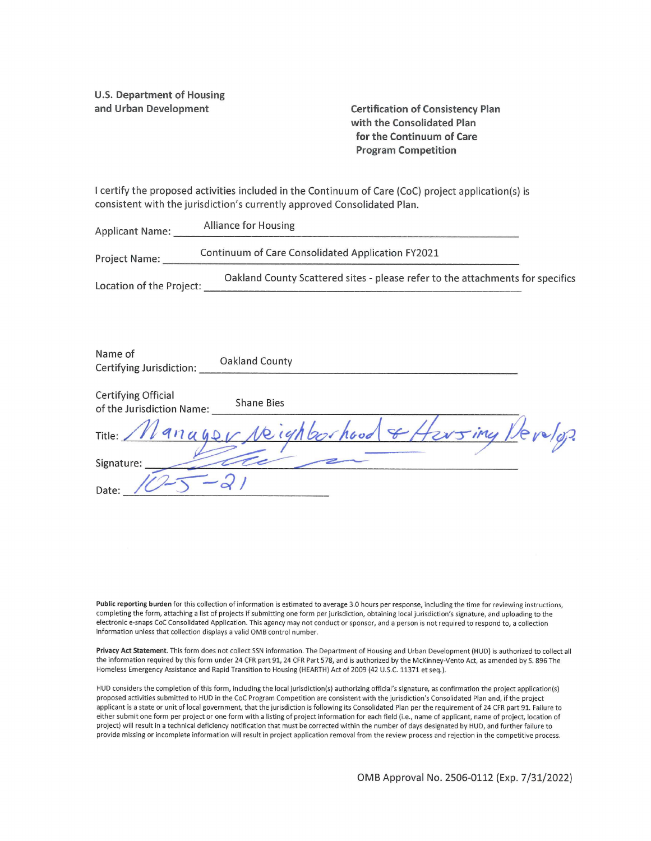**Certification of Consistency Plan** with the Consolidated Plan for the Continuum of Care **Program Competition** 

I certify the proposed activities included in the Continuum of Care (CoC) project application(s) is consistent with the jurisdiction's currently approved Consolidated Plan.

| <b>Applicant Name:</b>   | Alliance for Housing                                                           |  |
|--------------------------|--------------------------------------------------------------------------------|--|
| Project Name:            | Continuum of Care Consolidated Application FY2021                              |  |
| Location of the Project: | Oakland County Scattered sites - please refer to the attachments for specifics |  |

| Name of<br>Certifying Jurisdiction:              | Oakland County                         |
|--------------------------------------------------|----------------------------------------|
| Certifying Official<br>of the Jurisdiction Name: | <b>Shane Bies</b>                      |
| Title: $\angle$                                  | anager Neighborhood & Hersing Nerelop. |
| Signature:                                       |                                        |
| Date:                                            |                                        |

Public reporting burden for this collection of information is estimated to average 3.0 hours per response, including the time for reviewing instructions, completing the form, attaching a list of projects if submitting one form per jurisdiction, obtaining local jurisdiction's signature, and uploading to the electronic e-snaps CoC Consolidated Application. This agency may not conduct or sponsor, and a person is not required to respond to, a collection information unless that collection displays a valid OMB control number.

Privacy Act Statement. This form does not collect SSN information. The Department of Housing and Urban Development (HUD) is authorized to collect all the information required by this form under 24 CFR part 91, 24 CFR Part 578, and is authorized by the McKinney-Vento Act, as amended by S. 896 The Homeless Emergency Assistance and Rapid Transition to Housing (HEARTH) Act of 2009 (42 U.S.C. 11371 et seq.).

HUD considers the completion of this form, including the local jurisdiction(s) authorizing official's signature, as confirmation the project application(s) proposed activities submitted to HUD in the CoC Program Competition are consistent with the jurisdiction's Consolidated Plan and, if the project applicant is a state or unit of local government, that the jurisdiction is following its Consolidated Plan per the requirement of 24 CFR part 91. Failure to either submit one form per project or one form with a listing of project information for each field (i.e., name of applicant, name of project, location of project) will result in a technical deficiency notification that must be corrected within the number of days designated by HUD, and further failure to provide missing or incomplete information will result in project application removal from the review process and rejection in the competitive process.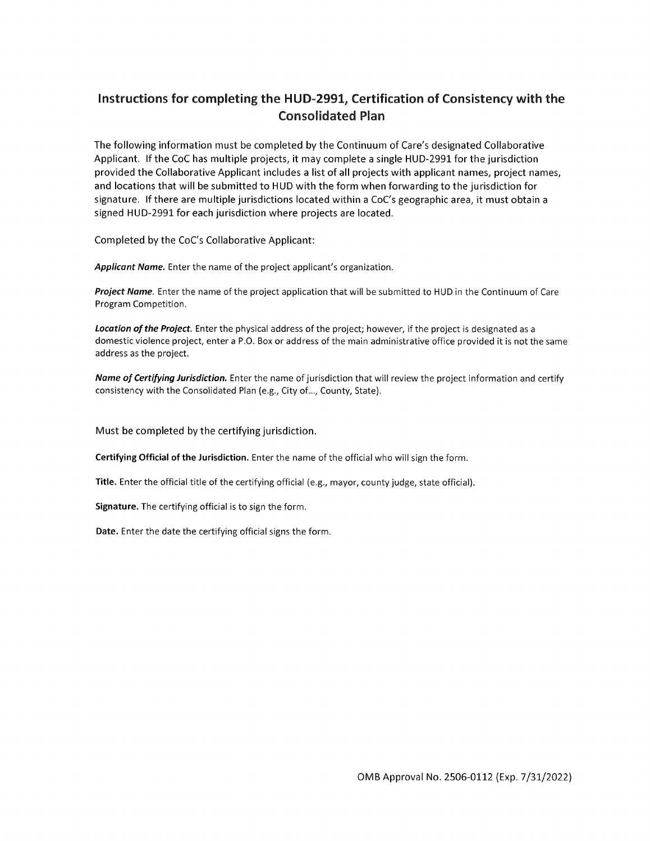### Instructions for completing the HUD-2991, Certification of Consistency with the **Consolidated Plan**

The following information must be completed by the Continuum of Care's designated Collaborative Applicant. If the CoC has multiple projects, it may complete a single HUD-2991 for the jurisdiction provided the Collaborative Applicant includes a list of all projects with applicant names, project names, and locations that will be submitted to HUD with the form when forwarding to the jurisdiction for signature. If there are multiple jurisdictions located within a CoC's geographic area, it must obtain a signed HUD-2991 for each jurisdiction where projects are located.

Completed by the CoC's Collaborative Applicant:

Applicant Name. Enter the name of the project applicant's organization.

Project Name. Enter the name of the project application that will be submitted to HUD in the Continuum of Care Program Competition.

Location of the Project. Enter the physical address of the project; however, if the project is designated as a domestic violence project, enter a P.O. Box or address of the main administrative office provided it is not the same address as the project.

Name of Certifying Jurisdiction. Enter the name of jurisdiction that will review the project information and certify consistency with the Consolidated Plan (e.g., City of..., County, State).

Must be completed by the certifying jurisdiction.

Certifying Official of the Jurisdiction. Enter the name of the official who will sign the form.

Title. Enter the official title of the certifying official (e.g., mayor, county judge, state official).

Signature. The certifying official is to sign the form.

Date. Enter the date the certifying official signs the form.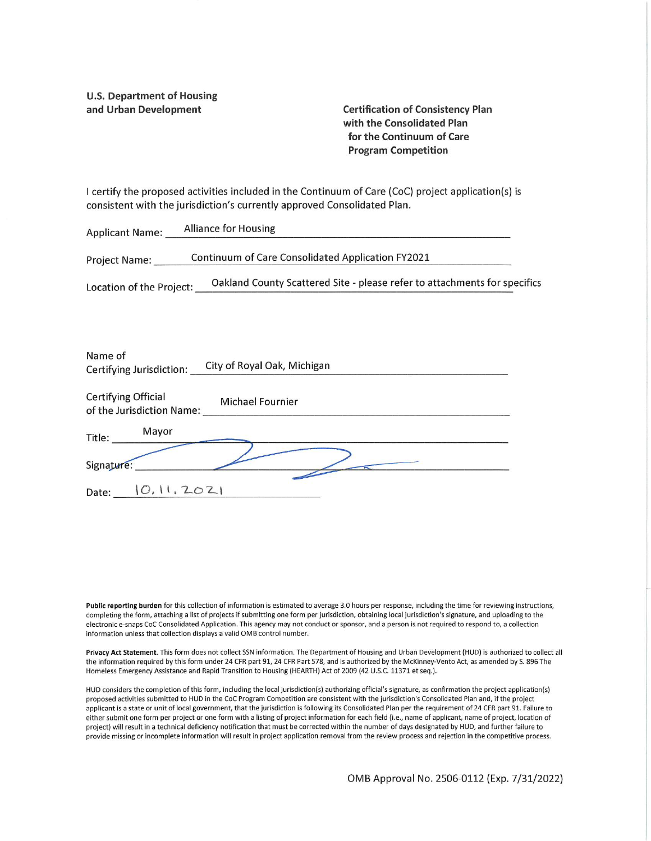**Certification of Consistency Plan** with the Consolidated Plan for the Continuum of Care **Program Competition** 

I certify the proposed activities included in the Continuum of Care (CoC) project application(s) is consistent with the jurisdiction's currently approved Consolidated Plan.

| <b>Applicant Name:</b>   | <b>Alliance for Housing</b>                                               |
|--------------------------|---------------------------------------------------------------------------|
| Project Name:            | Continuum of Care Consolidated Application FY2021                         |
| Location of the Project: | Oakland County Scattered Site - please refer to attachments for specifics |

| Name of<br>Certifying Jurisdiction:              | City of Royal Oak, Michigan |
|--------------------------------------------------|-----------------------------|
| Certifying Official<br>of the Jurisdiction Name: | <b>Michael Fournier</b>     |
| Mayor<br>Title:                                  |                             |
| Signature:                                       |                             |
| [0, 11, 202]<br>Date:                            |                             |

Public reporting burden for this collection of information is estimated to average 3.0 hours per response, including the time for reviewing instructions, completing the form, attaching a list of projects if submitting one form per jurisdiction, obtaining local jurisdiction's signature, and uploading to the electronic e-snaps CoC Consolidated Application. This agency may not conduct or sponsor, and a person is not required to respond to, a collection information unless that collection displays a valid OMB control number.

Privacy Act Statement. This form does not collect SSN information. The Department of Housing and Urban Development (HUD) is authorized to collect all the information required by this form under 24 CFR part 91, 24 CFR Part 578, and is authorized by the McKinney-Vento Act, as amended by S. 896 The Homeless Emergency Assistance and Rapid Transition to Housing (HEARTH) Act of 2009 (42 U.S.C. 11371 et seq.).

HUD considers the completion of this form, including the local jurisdiction(s) authorizing official's signature, as confirmation the project application(s) proposed activities submitted to HUD in the CoC Program Competition are consistent with the jurisdiction's Consolidated Plan and, if the project applicant is a state or unit of local government, that the jurisdiction is following its Consolidated Plan per the requirement of 24 CFR part 91. Failure to either submit one form per project or one form with a listing of project information for each field (i.e., name of applicant, name of project, location of project) will result in a technical deficiency notification that must be corrected within the number of days designated by HUD, and further failure to provide missing or incomplete information will result in project application removal from the review process and rejection in the competitive process.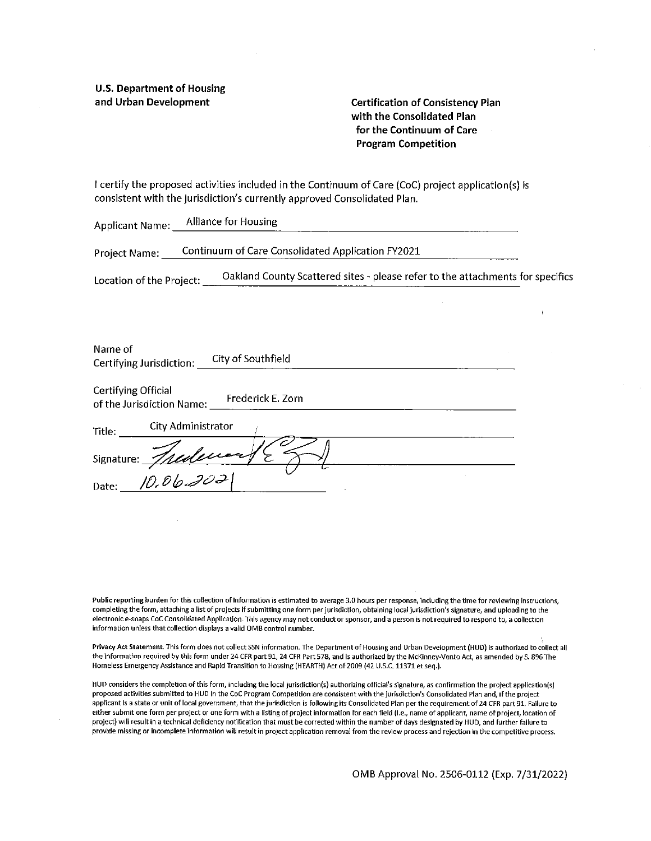**Certification of Consistency Plan** with the Consolidated Plan for the Continuum of Care **Program Competition** 

I certify the proposed activities included in the Continuum of Care (CoC) project application(s) is consistent with the jurisdiction's currently approved Consolidated Plan.

| <b>Applicant Name:</b> | Alliance for Housing                              |
|------------------------|---------------------------------------------------|
| <b>Project Name:</b>   | Continuum of Care Consolidated Application FY2021 |
|                        |                                                   |

Oakland County Scattered sites - please refer to the attachments for specifics Location of the Project:

Name of City of Southfield Certifying Jurisdiction:

**Certifying Official** Frederick E. Zorn of the Jurisdiction Name:

| Title: | City Administrator  |  |  |
|--------|---------------------|--|--|
|        | Signature: Tredeway |  |  |
| Date:  | 10.06.3021          |  |  |

Public reporting burden for this collection of Information is estimated to average 3.0 hours per response, including the time for reviewing instructions, completing the form, attaching a list of projects if submitting one form per jurisdiction, obtaining local jurisdiction's signature, and uploading to the electronic e-snaps CoC Consolidated Application. This agency may not conduct or sponsor, and a person is not required to respond to, a collection information unless that collection displays a valid OMB control number.

Privacy Act Statement. This form does not collect SSN information. The Department of Housing and Urban Development (HUD) is authorized to collect all the information required by this form under 24 CFR part 91, 24 CFR Part 578, and is authorized by the McKinney-Vento Act, as amended by S. 896 The Homeless Emergency Assistance and Rapid Transition to Housing (HEARTH) Act of 2009 (42 U.S.C. 11371 et seq.).

HUD considers the completion of this form, including the local jurisdiction(s) authorizing official's signature, as confirmation the project application(s) proposed activities submitted to HUD In the CoC Program Competition are consistent with the jurisdiction's Consolidated Plan and, if the project applicant Is a state or unit of local government, that the jurisdiction is following its Consolidated Plan per the requirement of 24 CFR part 91. Failure to either submit one form per project or one form with a listing of project information for each field (I.e., name of applicant, name of project, location of project) will result in a technical deficiency notification that must be corrected within the number of days designated by HUD, and further failure to provide missing or incomplete information will result in project application removal from the review process and rejection in the competitive process.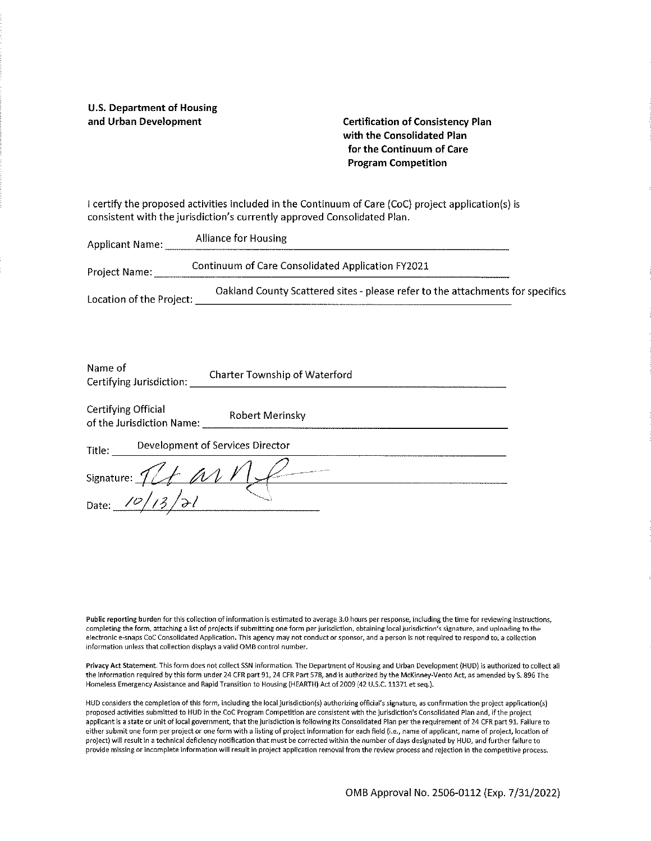**Certification of Consistency Plan** with the Consolidated Plan for the Continuum of Care **Program Competition** 

I certify the proposed activities included in the Continuum of Care (CoC) project application(s) is consistent with the jurisdiction's currently approved Consolidated Plan.

| <b>Applicant Name:</b>              | <b>Alliance for Housing</b>                                                    |  |  |
|-------------------------------------|--------------------------------------------------------------------------------|--|--|
| Project Name:                       | Continuum of Care Consolidated Application FY2021                              |  |  |
| Location of the Project:            | Oakland County Scattered sites - please refer to the attachments for specifics |  |  |
| Name of<br>Certifving Jurisdiction: | <b>Charter Township of Waterford</b>                                           |  |  |

**Certifving Official Robert Merinsky** of the Jurisdiction Name:

**Development of Services Director** Title<sup>.</sup>

| HUC.                                                          |                                                                                                                                                                                                                                |
|---------------------------------------------------------------|--------------------------------------------------------------------------------------------------------------------------------------------------------------------------------------------------------------------------------|
| Signature:                                                    | and the contract of the contract of the contract of the contract of the contract of the contract of the contract of the contract of the contract of the contract of the contract of the contract of the contract of the contra |
| <b>STARTING</b><br>Date:<br><del>li van veranna a van u</del> |                                                                                                                                                                                                                                |

Public reporting burden for this collection of information is estimated to average 3.0 hours per response, including the time for reviewing instructions, completing the form, attaching a list of projects if submitting one form per jurisdiction, obtaining local jurisdiction's signature, and uploading to the electronic e-snaps CoC Consolidated Application. This agency may not conduct or sponsor, and a person is not required to respond to, a collection information unless that collection displays a valid OMB control number.

Privacy Act Statement. This form does not collect SSN information. The Department of Housing and Urban Development (HUD) is authorized to collect all the information required by this form under 24 CFR part 91, 24 CFR Part 578, and is authorized by the McKinney-Vento Act, as amended by S. 896 The Homeless Emergency Assistance and Rapid Transition to Housing (HEARTH) Act of 2009 (42 U.S.C. 11371 et seq.).

HUD considers the completion of this form, including the local jurisdiction(s) authorizing official's signature, as confirmation the project application(s) proposed activities submitted to HUD in the CoC Program Competition are consistent with the jurisdiction's Consolidated Plan and, if the project applicant is a state or unit of local government, that the jurisdiction is following its Consolidated Plan per the requirement of 24 CFR part 91. Failure to either submit one form per project or one form with a listing of project information for each field (i.e., name of applicant, name of project, location of project) will result in a technical deficiency notification that must be corrected within the number of days designated by HUD, and further failure to provide missing or incomplete information will result in project application removal from the review process and rejection in the competitive process.